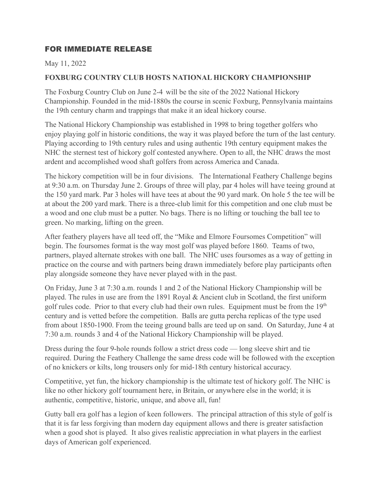## FOR IMMEDIATE RELEASE

## May 11, 2022

## **FOXBURG COUNTRY CLUB HOSTS NATIONAL HICKORY CHAMPIONSHIP**

The Foxburg Country Club on June 2-4 will be the site of the 2022 National Hickory Championship. Founded in the mid-1880s the course in scenic Foxburg, Pennsylvania maintains the 19th century charm and trappings that make it an ideal hickory course.

The National Hickory Championship was established in 1998 to bring together golfers who enjoy playing golf in historic conditions, the way it was played before the turn of the last century. Playing according to 19th century rules and using authentic 19th century equipment makes the NHC the sternest test of hickory golf contested anywhere. Open to all, the NHC draws the most ardent and accomplished wood shaft golfers from across America and Canada.

The hickory competition will be in four divisions. The International Feathery Challenge begins at 9:30 a.m. on Thursday June 2. Groups of three will play, par 4 holes will have teeing ground at the 150 yard mark. Par 3 holes will have tees at about the 90 yard mark. On hole 5 the tee will be at about the 200 yard mark. There is a three-club limit for this competition and one club must be a wood and one club must be a putter. No bags. There is no lifting or touching the ball tee to green. No marking, lifting on the green.

After feathery players have all teed off, the "Mike and Elmore Foursomes Competition" will begin. The foursomes format is the way most golf was played before 1860. Teams of two, partners, played alternate strokes with one ball. The NHC uses foursomes as a way of getting in practice on the course and with partners being drawn immediately before play participants often play alongside someone they have never played with in the past.

On Friday, June 3 at 7:30 a.m. rounds 1 and 2 of the National Hickory Championship will be played. The rules in use are from the 1891 Royal & Ancient club in Scotland, the first uniform golf rules code. Prior to that every club had their own rules. Equipment must be from the  $19<sup>th</sup>$ century and is vetted before the competition. Balls are gutta percha replicas of the type used from about 1850-1900. From the teeing ground balls are teed up on sand. On Saturday, June 4 at 7:30 a.m. rounds 3 and 4 of the National Hickory Championship will be played.

Dress during the four 9-hole rounds follow a strict dress code — long sleeve shirt and tie required. During the Feathery Challenge the same dress code will be followed with the exception of no knickers or kilts, long trousers only for mid-18th century historical accuracy.

Competitive, yet fun, the hickory championship is the ultimate test of hickory golf. The NHC is like no other hickory golf tournament here, in Britain, or anywhere else in the world; it is authentic, competitive, historic, unique, and above all, fun!

Gutty ball era golf has a legion of keen followers. The principal attraction of this style of golf is that it is far less forgiving than modern day equipment allows and there is greater satisfaction when a good shot is played. It also gives realistic appreciation in what players in the earliest days of American golf experienced.